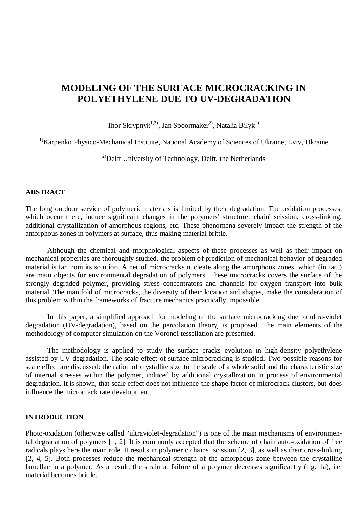# **MODELING OF THE SURFACE MICROCRACKING IN POLYETHYLENE DUE TO UV-DEGRADATION**

Ihor Skrypnyk<sup>1,2)</sup>, Jan Spoormaker<sup>2)</sup>, Natalia Bilyk<sup>1)</sup>

 $1)$ Karpenko Physico-Mechanical Institute, National Academy of Sciences of Ukraine, Lviv, Ukraine

<sup>2)</sup>Delft University of Technology, Delft, the Netherlands

#### **ABSTRACT**

The long outdoor service of polymeric materials is limited by their degradation. The oxidation processes, which occur there, induce significant changes in the polymers' structure: chain' scission, cross-linking, additional crystallization of amorphous regions, etc. These phenomena severely impact the strength of the amorphous zones in polymers at surface, thus making material brittle.

Although the chemical and morphological aspects of these processes as well as their impact on mechanical properties are thoroughly studied, the problem of prediction of mechanical behavior of degraded material is far from its solution. A net of microcracks nucleate along the amorphous zones, which (in fact) are main objects for environmental degradation of polymers. These microcracks covers the surface of the strongly degraded polymer, providing stress concentrators and channels for oxygen transport into bulk material. The manifold of microcracks, the diversity of their location and shapes, make the consideration of this problem within the frameworks of fracture mechanics practically impossible.

In this paper, a simplified approach for modeling of the surface microcracking due to ultra-violet degradation (UV-degradation), based on the percolation theory, is proposed. The main elements of the methodology of computer simulation on the Voronoi tessellation are presented.

The methodology is applied to study the surface cracks evolution in high-density polyethylene assisted by UV-degradation. The scale effect of surface microcracking is studied. Two possible reasons for scale effect are discussed: the ration of crystallite size to the scale of a whole solid and the characteristic size of internal stresses within the polymer, induced by additional crystallization in process of environmental degradation. It is shown, that scale effect does not influence the shape factor of microcrack clusters, but does influence the microcrack rate development.

### **INTRODUCTION**

Photo-oxidation (otherwise called "ultraviolet-degradation") is one of the main mechanisms of environmental degradation of polymers [1, 2]. It is commonly accepted that the scheme of chain auto-oxidation of free radicals plays here the main role. It results in polymeric chains' scission [2, 3], as well as their cross-linking [2, 4, 5]. Both processes reduce the mechanical strength of the amorphous zone between the crystalline lamellae in a polymer. As a result, the strain at failure of a polymer decreases significantly (fig. 1a), i.e. material becomes brittle.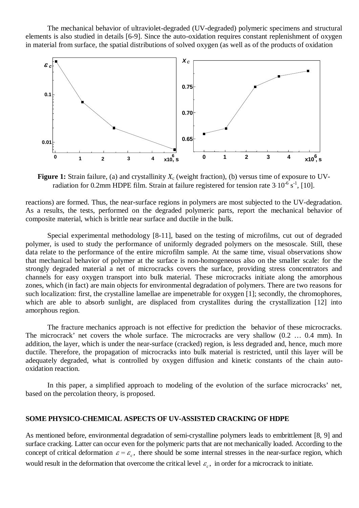The mechanical behavior of ultraviolet-degraded (UV-degraded) polymeric specimens and structural elements is also studied in details [6-9]. Since the auto-oxidation requires constant replenishment of oxygen in material from surface, the spatial distributions of solved oxygen (as well as of the products of oxidation



**Figure 1:** Strain failure, (a) and crystallinity  $X_c$  (weight fraction), (b) versus time of exposure to UVradiation for 0.2mm HDPE film. Strain at failure registered for tension rate  $3 \cdot 10^{-6}$  s<sup>-1</sup>, [10].

reactions) are formed. Thus, the near-surface regions in polymers are most subjected to the UV-degradation. As a results, the tests, performed on the degraded polymeric parts, report the mechanical behavior of composite material, which is brittle near surface and ductile in the bulk.

Special experimental methodology [8-11], based on the testing of microfilms, cut out of degraded polymer, is used to study the performance of uniformly degraded polymers on the mesoscale. Still, these data relate to the performance of the entire microfilm sample. At the same time, visual observations show that mechanical behavior of polymer at the surface is non-homogeneous also on the smaller scale: for the strongly degraded material a net of microcracks covers the surface, providing stress concentrators and channels for easy oxygen transport into bulk material. These microcracks initiate along the amorphous zones, which (in fact) are main objects for environmental degradation of polymers. There are two reasons for such localization: first, the crystalline lamellae are impenetrable for oxygen [1]; secondly, the chromophores, which are able to absorb sunlight, are displaced from crystallites during the crystallization [12] into amorphous region.

The fracture mechanics approach is not effective for prediction the behavior of these microcracks. The microcrack' net covers the whole surface. The microcracks are very shallow (0.2 … 0.4 mm). In addition, the layer, which is under the near-surface (cracked) region, is less degraded and, hence, much more ductile. Therefore, the propagation of microcracks into bulk material is restricted, until this layer will be adequately degraded, what is controlled by oxygen diffusion and kinetic constants of the chain autooxidation reaction.

In this paper, a simplified approach to modeling of the evolution of the surface microcracks' net, based on the percolation theory, is proposed.

## **SOME PHYSICO-CHEMICAL ASPECTS OF UV-ASSISTED CRACKING OF HDPE**

As mentioned before, environmental degradation of semi-crystalline polymers leads to embrittlement [8, 9] and surface cracking. Latter can occur even for the polymeric parts that are not mechanically loaded. According to the concept of critical deformation  $\varepsilon = \varepsilon$ , there should be some internal stresses in the near-surface region, which would result in the deformation that overcome the critical level  $\varepsilon_c$ , in order for a microcrack to initiate.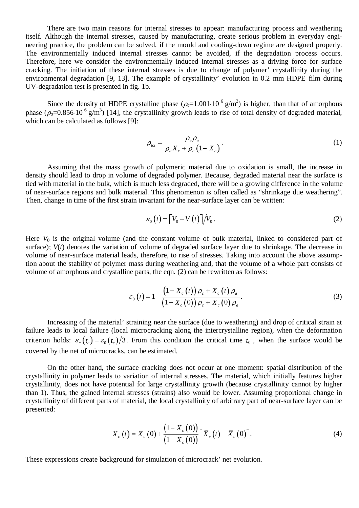There are two main reasons for internal stresses to appear: manufacturing process and weathering itself. Although the internal stresses, caused by manufacturing, create serious problem in everyday engineering practice, the problem can be solved, if the mould and cooling-down regime are designed properly. The environmentally induced internal stresses cannot be avoided, if the degradation process occurs. Therefore, here we consider the environmentally induced internal stresses as a driving force for surface cracking. The initiation of these internal stresses is due to change of polymer' crystallinity during the environmental degradation [9, 13]. The example of crystallinity' evolution in 0.2 mm HDPE film during UV-degradation test is presented in fig. 1b.

Since the density of HDPE crystalline phase  $(\rho_c=1.001 \cdot 10^{-6} \text{ g/m}^3)$  is higher, than that of amorphous phase ( $\rho_a$ =0.856·10<sup>6</sup> g/m<sup>3</sup>) [14], the crystallinity growth leads to rise of total density of degraded material, which can be calculated as follows [9]:

$$
\rho_{tot} = \frac{\rho_c \rho_a}{\rho_a X_c + \rho_c (1 - X_c)}.
$$
\n(1)

Assuming that the mass growth of polymeric material due to oxidation is small, the increase in density should lead to drop in volume of degraded polymer. Because, degraded material near the surface is tied with material in the bulk, which is much less degraded, there will be a growing difference in the volume of near-surface regions and bulk material. This phenomenon is often called as "shrinkage due weathering". Then, change in time of the first strain invariant for the near-surface layer can be written:

$$
\varepsilon_0(t) = \left[V_0 - V(t)\right]/V_0. \tag{2}
$$

Here  $V_0$  is the original volume (and the constant volume of bulk material, linked to considered part of surface);  $V(t)$  denotes the variation of volume of degraded surface layer due to shrinkage. The decrease in volume of near-surface material leads, therefore, to rise of stresses. Taking into account the above assumption about the stability of polymer mass during weathering and, that the volume of a whole part consists of volume of amorphous and crystalline parts, the eqn. (2) can be rewritten as follows:

$$
\varepsilon_{0}(t) = 1 - \frac{(1 - X_{c}(t)) \rho_{c} + X_{c}(t) \rho_{a}}{(1 - X_{c}(0)) \rho_{c} + X_{c}(0) \rho_{a}}.
$$
\n(3)

Increasing of the material' straining near the surface (due to weathering) and drop of critical strain at failure leads to local failure (local microcracking along the intercrystalline region), when the deformation criterion holds:  $\varepsilon_c(t_c) = \varepsilon_0(t_c)/3$ . From this condition the critical time  $t_c$ , when the surface would be covered by the net of microcracks, can be estimated.

On the other hand, the surface cracking does not occur at one moment: spatial distribution of the crystallinity in polymer leads to variation of internal stresses. The material, which initially features higher crystallinity, does not have potential for large crystallinity growth (because crystallinity cannot by higher than 1). Thus, the gained internal stresses (strains) also would be lower. Assuming proportional change in crystallinity of different parts of material, the local crystallinity of arbitrary part of near-surface layer can be presented:

$$
X_c(t) = X_c(0) + \frac{(1 - X_c(0))}{(1 - \bar{X}_c(0))} \left[ \bar{X}_c(t) - \bar{X}_c(0) \right].
$$
 (4)

These expressions create background for simulation of microcrack' net evolution.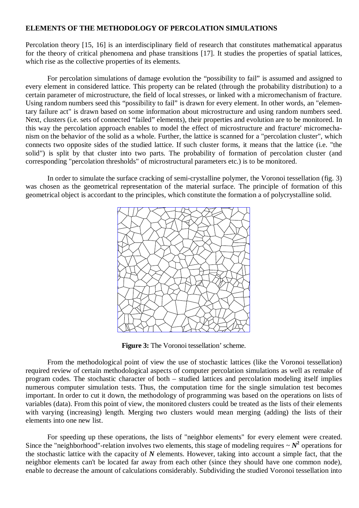## **ELEMENTS OF THE METHODOLOGY OF PERCOLATION SIMULATIONS**

Percolation theory [15, 16] is an interdisciplinary field of research that constitutes mathematical apparatus for the theory of critical phenomena and phase transitions [17]. It studies the properties of spatial lattices, which rise as the collective properties of its elements.

For percolation simulations of damage evolution the "possibility to fail" is assumed and assigned to every element in considered lattice. This property can be related (through the probability distribution) to a certain parameter of microstructure, the field of local stresses, or linked with a micromechanism of fracture. Using random numbers seed this "possibility to fail" is drawn for every element. In other words, an "elementary failure act" is drawn based on some information about microstructure and using random numbers seed. Next, clusters (i.e. sets of connected "failed" elements), their properties and evolution are to be monitored. In this way the percolation approach enables to model the effect of microstructure and fracture' micromechanism on the behavior of the solid as a whole. Further, the lattice is scanned for a "percolation cluster", which connects two opposite sides of the studied lattice. If such cluster forms, it means that the lattice (i.e. "the solid") is split by that cluster into two parts. The probability of formation of percolation cluster (and corresponding "percolation thresholds" of microstructural parameters etc.) is to be monitored.

In order to simulate the surface cracking of semi-crystalline polymer, the Voronoi tessellation (fig. 3) was chosen as the geometrical representation of the material surface. The principle of formation of this geometrical object is accordant to the principles, which constitute the formation a of polycrystalline solid.



**Figure 3:** The Voronoi tessellation' scheme.

From the methodological point of view the use of stochastic lattices (like the Voronoi tessellation) required review of certain methodological aspects of computer percolation simulations as well as remake of program codes. The stochastic character of both – studied lattices and percolation modeling itself implies numerous computer simulation tests. Thus, the computation time for the single simulation test becomes important. In order to cut it down, the methodology of programming was based on the operations on lists of variables (data). From this point of view, the monitored clusters could be treated as the lists of their elements with varying (increasing) length. Merging two clusters would mean merging (adding) the lists of their elements into one new list.

For speeding up these operations, the lists of "neighbor elements" for every element were created. Since the "neighborhood"-relation involves two elements, this stage of modeling requires  $\sim N^2$  operations for the stochastic lattice with the capacity of *N* elements. However, taking into account a simple fact, that the neighbor elements can't be located far away from each other (since they should have one common node), enable to decrease the amount of calculations considerably. Subdividing the studied Voronoi tessellation into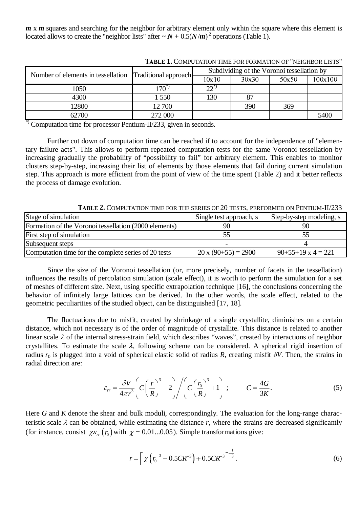*m* x *m* squares and searching for the neighbor for arbitrary element only within the square where this element is located allows to create the "neighbor lists" after  $\sim N + 0.5(N/m)^2$  operations (Table 1).

| Number of elements in tessellation   Traditional approach |           | Subdividing of the Voronoi tessellation by |       |       |         |  |
|-----------------------------------------------------------|-----------|--------------------------------------------|-------|-------|---------|--|
|                                                           |           | 10x10                                      | 30x30 | 50x50 | 100x100 |  |
| 1050                                                      | $170^{*}$ | $22^{(*)}$                                 |       |       |         |  |
| 4300                                                      | 1 550     | 130                                        | 87    |       |         |  |
| 12800                                                     | 12 700    |                                            | 390   | 369   |         |  |
| 62700                                                     | 272 000   |                                            |       |       | 5400    |  |
|                                                           |           |                                            |       |       |         |  |

L:**BLE 1.** COMPUTATION TIME FOR FORMATION OF "NEIGHBOR LISTS"

\*) Computation time for processor Pentium-II/233, given in seconds.

Further cut down of computation time can be reached if to account for the independence of "elementary failure acts". This allows to perform repeated computation tests for the same Voronoi tessellation by increasing gradually the probability of "possibility to fail" for arbitrary element. This enables to monitor clusters step-by-step, increasing their list of elements by those elements that fail during current simulation step. This approach is more efficient from the point of view of the time spent (Table 2) and it better reflects the process of damage evolution.

L:**BLE 2.** COMPUTATION TIME FOR THE SERIES OF 20 TESTS, PERFORMED ON PENTIUM-II/233

| Stage of simulation                                   | Single test approach, s    | Step-by-step modeling, s  |  |
|-------------------------------------------------------|----------------------------|---------------------------|--|
| Formation of the Voronoi tessellation (2000 elements) |                            | 90                        |  |
| First step of simulation                              |                            |                           |  |
| Subsequent steps                                      |                            |                           |  |
| Computation time for the complete series of 20 tests  | $20 \times (90+55) = 2900$ | $90+55+19 \times 4 = 221$ |  |

Since the size of the Voronoi tessellation (or, more precisely, number of facets in the tessellation) influences the results of percolation simulation (scale effect), it is worth to perform the simulation for a set of meshes of different size. Next, using specific extrapolation technique [16], the conclusions concerning the behavior of infinitely large lattices can be derived. In the other words, the scale effect, related to the geometric peculiarities of the studied object, can be distinguished [17, 18].

The fluctuations due to misfit, created by shrinkage of a single crystallite, diminishes on a certain distance, which not necessary is of the order of magnitude of crystallite. This distance is related to another linear scale  $\lambda$  of the internal stress-strain field, which describes "waves", created by interactions of neighbor crystallites. To estimate the scale  $\lambda$ , following scheme can be considered. A spherical rigid insertion of radius  $r_0$  is plugged into a void of spherical elastic solid of radius R, creating misfit  $\delta V$ . Then, the strains in radial direction are:

$$
\varepsilon_{rr} = \frac{\delta V}{4\pi r^3} \left( C \left( \frac{r}{R} \right)^3 - 2 \right) / \left( C \left( \frac{r_0}{R} \right)^3 + 1 \right) ; \qquad C = \frac{4G}{3K}.
$$
 (5)

Here *G* and *K* denote the shear and bulk moduli, correspondingly. The evaluation for the long-range characteristic scale  $\lambda$  can be obtained, while estimating the distance *r*, where the strains are decreased significantly<br>(for instance, consist  $\chi \varepsilon_r (r_0)$  with  $\chi = 0.01...0.05$ ). Simple transformations give:<br> $r = \left[ \chi (r_0^{-$ (for instance, consist  $\chi \varepsilon_r$  ( $r_0$ ) with  $\chi = 0.01...0.05$ ). Simple transformations give:

$$
r = \left[ \chi \left( r_0^{-3} - 0.5CR^{-3} \right) + 0.5CR^{-3} \right]^{-\frac{1}{3}}.
$$
 (6)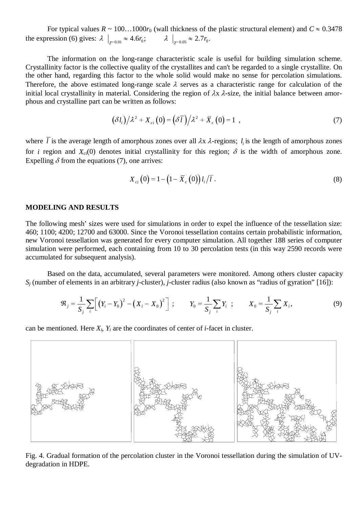For typical values  $R \sim 100...1000r_0$  (wall thickness of the plastic structural element) and  $C \approx 0.3478$ the expression (6) gives:  $\lambda \Big|_{\chi=0.01} \approx 4.6 r_0$ ;  $\lambda \Big|_{\chi=0.05} \approx 2.7 r_0$ .

The information on the long-range characteristic scale is useful for building simulation scheme. Crystallinity factor is the collective quality of the crystallites and can't be regarded to a single crystallite. On the other hand, regarding this factor to the whole solid would make no sense for percolation simulations. Therefore, the above estimated long-range scale  $\lambda$  serves as a characteristic range for calculation of the initial local crystallinity in material. Considering the region of  $\lambda x \lambda$ -size, the initial balance between amorphous and crystalline part can be written as follows:

$$
(\delta l_i)/\lambda^2 + X_{ci}(0) = (\delta \overline{l})/\lambda^2 + \overline{X}_c(0) = 1 , \qquad (7)
$$

where  $\bar{l}$  is the average length of amorphous zones over all  $\lambda x$   $\lambda$ -regions;  $l_i$  is the length of amorphous zones for *i* region and  $X_{ci}(0)$  denotes initial crystallinity for this region;  $\delta$  is the width of amorphous zone. Expelling  $\delta$  from the equations (7), one arrives:

$$
X_{ci}(0) = 1 - (1 - \bar{X}_{c}(0)) l_{i}/\bar{l} . \qquad (8)
$$

#### **MODELING AND RESULTS**

The following mesh' sizes were used for simulations in order to expel the influence of the tessellation size: 460; 1100; 4200; 12700 and 63000. Since the Voronoi tessellation contains certain probabilistic information, new Voronoi tessellation was generated for every computer simulation. All together 188 series of computer simulation were performed, each containing from 10 to 30 percolation tests (in this way 2590 records were accumulated for subsequent analysis).

Based on the data, accumulated, several parameters were monitored. Among others cluster capacity *Sj* (number of elements in an arbitrary *j*-cluster), *j*-cluster radius (also known as "radius of gyration" [16]):

$$
\mathfrak{R}_{j} = \frac{1}{S_{j}} \sum_{i} \left[ \left( Y_{i} - Y_{0} \right)^{2} - \left( X_{i} - X_{0} \right)^{2} \right]; \qquad Y_{0} = \frac{1}{S_{j}} \sum_{i} Y_{i}; \qquad X_{0} = \frac{1}{S_{j}} \sum_{i} X_{i}, \tag{9}
$$

can be mentioned. Here  $X_i$ ,  $Y_i$  are the coordinates of center of *i*-facet in cluster.



Fig. 4. Gradual formation of the percolation cluster in the Voronoi tessellation during the simulation of UVdegradation in HDPE.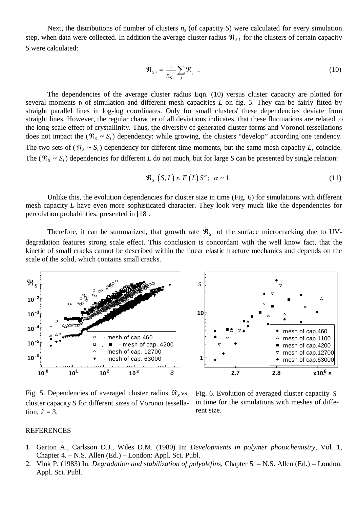Next, the distributions of number of clusters *ns* (of capacity *S*) were calculated for every simulation step, when data were collected. In addition the average cluster radius  $\Re_{s,i}$  for the clusters of certain capacity *S* were calculated:

$$
\mathfrak{R}_{s_i} = \frac{1}{n_{s_i}} \sum_j \mathfrak{R}_j \tag{10}
$$

The dependencies of the average cluster radius Eqn. (10) versus cluster capacity are plotted for several moments *ti* of simulation and different mesh capacities *L* on fig. 5. They can be fairly fitted by straight parallel lines in log-log coordinates. Only for small clusters' these dependencies deviate from straight lines. However, the regular character of all deviations indicates, that these fluctuations are related to the long-scale effect of crystallinity. Thus, the diversity of generated cluster forms and Voronoi tessellations does not impact the  $(\Re_s \sim S_i)$  dependency: while growing, the clusters "develop" according one tendency. The two sets of  $(\Re_s \sim S_i)$  dependency for different time moments, but the same mesh capacity *L*, coincide. The  $(\Re_s \sim S_i)$  dependencies for different *L* do not much, but for large *S* can be presented by single relation:

$$
\mathfrak{R}_s \left( S, L \right) \approx F \left( L \right) S^{\alpha}; \ \alpha \sim 1. \tag{11}
$$

Unlike this, the evolution dependencies for cluster size in time (Fig. 6) for simulations with different mesh capacity *L* have even more sophisticated character. They look very much like the dependencies for percolation probabilities, presented in [18].

Therefore, it can be summarized, that growth rate  $\hat{\mathfrak{R}}_s$  of the surface microcracking due to UVdegradation features strong scale effect. This conclusion is concordant with the well know fact, that the kinetic of small cracks cannot be described within the linear elastic fracture mechanics and depends on the scale of the solid, which contains small cracks.



*S* **10** mesh of cap.460 mesh of cap.1100  $\Delta$ mesh of cap.4200 mesh of cap.12700  $\triangledown$ **1** mesh of cap.63000  $x10,6$  s **<sup>10</sup><sup>3</sup>** <sup>S</sup> **2.7 2.8 <sup>6</sup>**

Fig. 5. Dependencies of averaged cluster radius  $\mathcal{R}_{\rm g}$  vs. cluster capacity *S* for different sizes of Voronoi tessellation,  $\lambda = 3$ .

Fig. 6. Evolution of averaged cluster capacity  $\overline{S}$ in time for the simulations with meshes of different size.

#### **REFERENCES**

- 1. Garton A., Carlsson D.J., Wiles D.M. (1980) In: *Developments in polymer photochemistry,* Vol. 1, Chapter 4. – N.S. Allen (Ed.) – London: Appl. Sci. Publ.
- 2. Vink P. (1983) In: *Degradation and stabilization of polyolefins*, Chapter 5. N.S. Allen (Ed.) London: Appl. Sci. Publ.